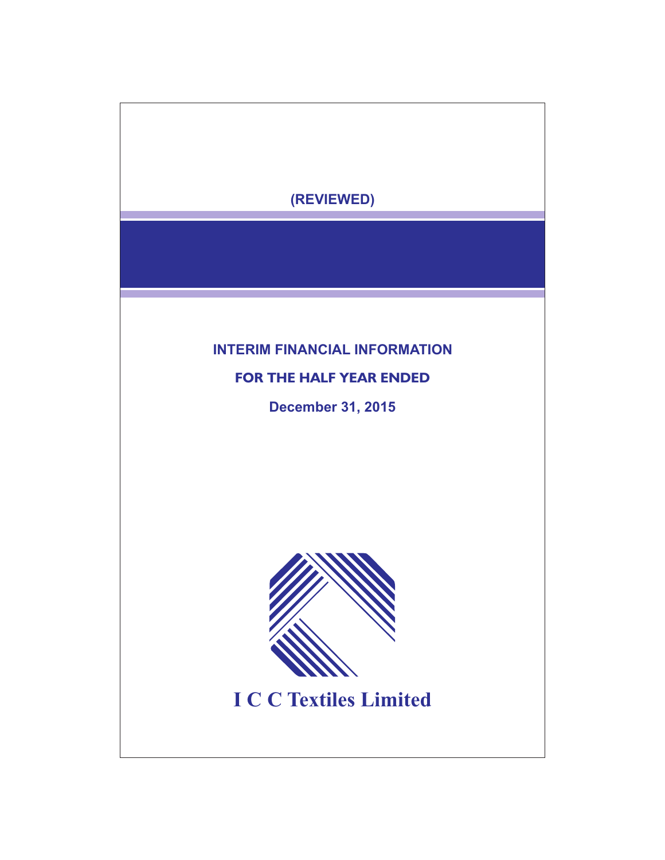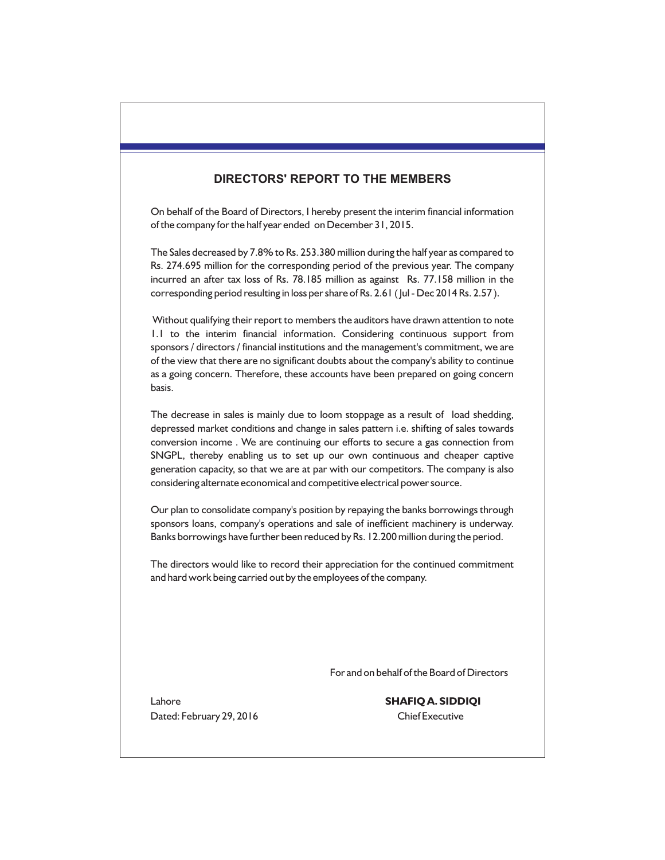# **DIRECTORS' REPORT TO THE MEMBERS**

On behalf of the Board of Directors, I hereby present the interim financial information of the company for the half year ended on December 31, 2015.

The Sales decreased by 7.8% to Rs. 253.380 million during the half year as compared to Rs. 274.695 million for the corresponding period of the previous year. The company incurred an after tax loss of Rs. 78.185 million as against Rs. 77.158 million in the corresponding period resulting in loss per share of Rs. 2.61 ( Jul - Dec 2014 Rs. 2.57 ).

Without qualifying their report to members the auditors have drawn attention to note 1.1 to the interim financial information. Considering continuous support from sponsors / directors / financial institutions and the management's commitment, we are of the view that there are no significant doubts about the company's ability to continue as a going concern. Therefore, these accounts have been prepared on going concern basis.

The decrease in sales is mainly due to loom stoppage as a result of load shedding, depressed market conditions and change in sales pattern i.e. shifting of sales towards conversion income . We are continuing our efforts to secure a gas connection from SNGPL, thereby enabling us to set up our own continuous and cheaper captive generation capacity, so that we are at par with our competitors. The company is also considering alternate economical and competitive electrical power source.

Our plan to consolidate company's position by repaying the banks borrowings through sponsors loans, company's operations and sale of inefficient machinery is underway. Banks borrowings have further been reduced by Rs. 12.200 million during the period.

The directors would like to record their appreciation for the continued commitment and hard work being carried out by the employees of the company.

For and on behalf of the Board of Directors

Dated: February 29, 2016 Chief Executive

Lahore **SHAFIQ A. SIDDIQI**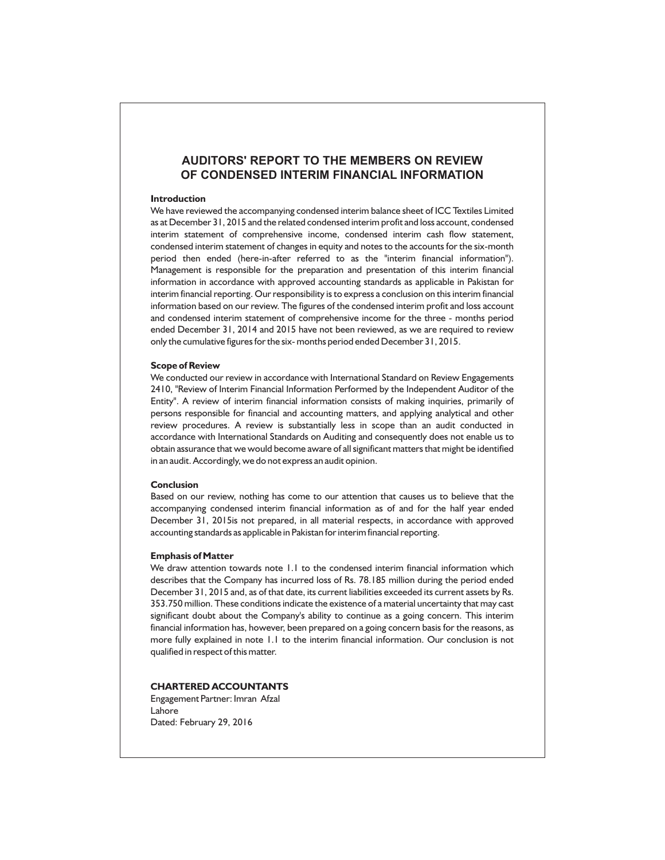# **AUDITORS' REPORT TO THE MEMBERS ON REVIEW OF CONDENSED INTERIM FINANCIAL INFORMATION**

#### **Introduction**

We have reviewed the accompanying condensed interim balance sheet of ICC Textiles Limited as at December 31, 2015 and the related condensed interim profit and loss account, condensed interim statement of comprehensive income, condensed interim cash flow statement, condensed interim statement of changes in equity and notes to the accounts for the six-month period then ended (here-in-after referred to as the "interim financial information"). Management is responsible for the preparation and presentation of this interim financial information in accordance with approved accounting standards as applicable in Pakistan for interim financial reporting. Our responsibility is to express a conclusion on this interim financial information based on our review. The figures of the condensed interim profit and loss account and condensed interim statement of comprehensive income for the three - months period ended December 31, 2014 and 2015 have not been reviewed, as we are required to review only the cumulative figures for the six- months period ended December 31, 2015.

#### **Scope of Review**

We conducted our review in accordance with International Standard on Review Engagements 2410, "Review of Interim Financial Information Performed by the Independent Auditor of the Entity". A review of interim financial information consists of making inquiries, primarily of persons responsible for financial and accounting matters, and applying analytical and other review procedures. A review is substantially less in scope than an audit conducted in accordance with International Standards on Auditing and consequently does not enable us to obtain assurance that we would become aware of all significant matters that might be identified in an audit. Accordingly, we do not express an audit opinion.

#### **Conclusion**

Based on our review, nothing has come to our attention that causes us to believe that the accompanying condensed interim financial information as of and for the half year ended December 31, 2015is not prepared, in all material respects, in accordance with approved accounting standards as applicable in Pakistan for interim financial reporting.

#### **Emphasis of Matter**

We draw attention towards note 1.1 to the condensed interim financial information which describes that the Company has incurred loss of Rs. 78.185 million during the period ended December 31, 2015 and, as of that date, its current liabilities exceeded its current assets by Rs. 353.750 million. These conditions indicate the existence of a material uncertainty that may cast significant doubt about the Company's ability to continue as a going concern. This interim financial information has, however, been prepared on a going concern basis for the reasons, as more fully explained in note 1.1 to the interim financial information. Our conclusion is not qualified in respect of this matter.

#### **CHARTERED ACCOUNTANTS**

Engagement Partner: Imran Afzal Lahore Dated: February 29, 2016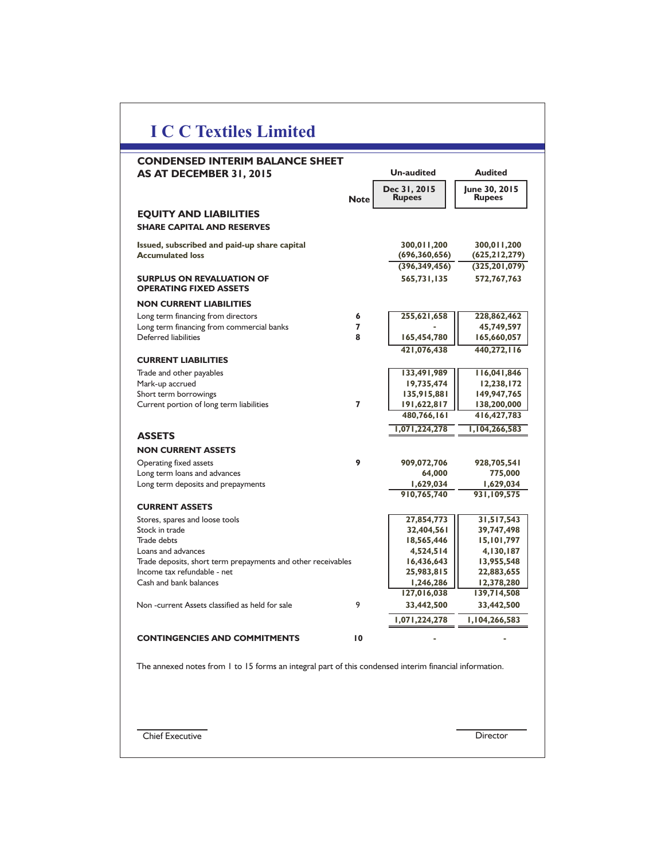| <b>CONDENSED INTERIM BALANCE SHEET</b><br>AS AT DECEMBER 31, 2015                                      |                | <b>Un-audited</b>              | <b>Audited</b>                 |
|--------------------------------------------------------------------------------------------------------|----------------|--------------------------------|--------------------------------|
|                                                                                                        | <b>Note</b>    | Dec 31, 2015<br><b>Rupees</b>  | June 30, 2015<br><b>Rupees</b> |
| <b>EQUITY AND LIABILITIES</b>                                                                          |                |                                |                                |
| <b>SHARE CAPITAL AND RESERVES</b>                                                                      |                |                                |                                |
|                                                                                                        |                |                                |                                |
| Issued, subscribed and paid-up share capital<br><b>Accumulated loss</b>                                |                | 300,011,200<br>(696, 360, 656) | 300,011,200<br>(625, 212, 279) |
|                                                                                                        |                | (396, 349, 456)                | (325, 201, 079)                |
| <b>SURPLUS ON REVALUATION OF</b><br><b>OPERATING FIXED ASSETS</b>                                      |                | 565,731,135                    | 572,767,763                    |
| <b>NON CURRENT LIABILITIES</b>                                                                         |                |                                |                                |
| Long term financing from directors                                                                     | 6              | 255,621,658                    | 228,862,462                    |
| Long term financing from commercial banks                                                              | $\overline{ }$ |                                | 45,749,597                     |
| Deferred liabilities                                                                                   | 8              | 165,454,780                    | 165,660,057                    |
|                                                                                                        |                | 421,076,438                    | 440,272,116                    |
| <b>CURRENT LIABILITIES</b>                                                                             |                |                                |                                |
| Trade and other payables                                                                               |                | 133,491,989                    | 116,041,846                    |
| Mark-up accrued                                                                                        |                | 19,735,474                     | 12,238,172                     |
| Short term borrowings                                                                                  |                | 135,915,881                    | 149,947,765                    |
| Current portion of long term liabilities                                                               | $\overline{ }$ | 191,622,817                    | 138,200,000                    |
|                                                                                                        |                | 480,766,161                    | 416, 427, 783                  |
|                                                                                                        |                | 1,071,224,278                  | 1,104,266,583                  |
| <b>ASSETS</b>                                                                                          |                |                                |                                |
| <b>NON CURRENT ASSETS</b>                                                                              |                |                                |                                |
| Operating fixed assets                                                                                 | 9              | 909,072,706                    | 928,705,541                    |
| Long term loans and advances                                                                           |                | 64,000                         | 775,000                        |
| Long term deposits and prepayments                                                                     |                | 1,629,034<br>910,765,740       | 1,629,034<br>931,109,575       |
| <b>CURRENT ASSETS</b>                                                                                  |                |                                |                                |
|                                                                                                        |                | 27,854,773                     | 31,517,543                     |
| Stores, spares and loose tools<br>Stock in trade                                                       |                | 32,404,561                     | 39,747,498                     |
| Trade debts                                                                                            |                | 18,565,446                     | 15,101,797                     |
| Loans and advances                                                                                     |                | 4,524,514                      | 4,130,187                      |
| Trade deposits, short term prepayments and other receivables                                           |                | 16,436,643                     | 13,955,548                     |
| Income tax refundable - net                                                                            |                | 25,983,815                     | 22,883,655                     |
| Cash and bank balances                                                                                 |                | 1,246,286                      | 12,378,280                     |
|                                                                                                        |                | 127,016,038                    | 139,714,508                    |
| Non-current Assets classified as held for sale                                                         | 9              | 33,442,500                     | 33,442,500                     |
|                                                                                                        |                | 1,071,224,278                  | 1,104,266,583                  |
| <b>NTINGENCIES AND COMMITMENTS</b>                                                                     | 10             |                                |                                |
| The annexed notes from 1 to 15 forms an integral part of this condensed interim financial information. |                |                                |                                |
|                                                                                                        |                |                                |                                |
|                                                                                                        |                |                                |                                |
| <b>Chief Executive</b>                                                                                 |                |                                | Director                       |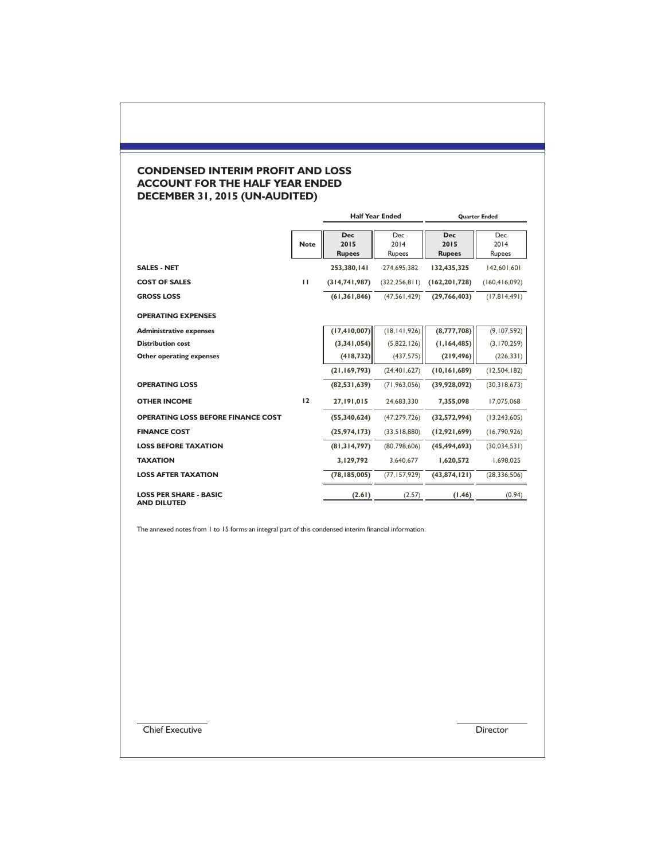# **CONDENSED INTERIM PROFIT AND LOSS ACCOUNT FOR THE HALF YEAR ENDED DECEMBER 31, 2015 (UN-AUDITED)**

|                                                     |              | <b>Half Year Ended</b>              |                              | <b>Quarter Ended</b>                |                              |
|-----------------------------------------------------|--------------|-------------------------------------|------------------------------|-------------------------------------|------------------------------|
|                                                     | <b>Note</b>  | <b>Dec</b><br>2015<br><b>Rupees</b> | <b>Dec</b><br>2014<br>Rupees | <b>Dec</b><br>2015<br><b>Rupees</b> | <b>Dec</b><br>2014<br>Rupees |
| <b>SALES - NET</b>                                  |              | 253,380,141                         | 274.695.382                  | 132,435,325                         | 142,601,601                  |
| <b>COST OF SALES</b>                                | $\mathbf{H}$ | (314,741,987)                       | (322, 256, 811)              | (162, 201, 728)                     | (160, 416, 092)              |
| <b>GROSS LOSS</b>                                   |              | (61, 361, 846)                      | (47,561,429)                 | (29, 766, 403)                      | (17,814,491)                 |
| <b>OPERATING EXPENSES</b>                           |              |                                     |                              |                                     |                              |
| <b>Administrative expenses</b>                      |              | (17, 410, 007)                      | (18, 141, 926)               | (8,777,708)                         | (9, 107, 592)                |
| <b>Distribution cost</b>                            |              | (3,341,054)                         | (5,822,126)                  | (1,164,485)                         | (3,170,259)                  |
| <b>Other operating expenses</b>                     |              | (418, 732)                          | (437, 575)                   | (219, 496)                          | (226, 331)                   |
|                                                     |              | (21, 169, 793)                      | (24, 401, 627)               | (10, 161, 689)                      | (12, 504, 182)               |
| <b>OPERATING LOSS</b>                               |              | (82,531,639)                        | (71, 963, 056)               | (39,928,092)                        | (30,318,673)                 |
| <b>OTHER INCOME</b>                                 | 12           | 27,191,015                          | 24,683,330                   | 7,355,098                           | 17,075,068                   |
| <b>OPERATING LOSS BEFORE FINANCE COST</b>           |              | (55,340,624)                        | (47, 279, 726)               | (32,572,994)                        | (13, 243, 605)               |
| <b>FINANCE COST</b>                                 |              | (25, 974, 173)                      | (33,518,880)                 | (12,921,699)                        | (16,790,926)                 |
| <b>LOSS BEFORE TAXATION</b>                         |              | (81, 314, 797)                      | (80,798,606)                 | (45, 494, 693)                      | (30,034,531)                 |
| <b>TAXATION</b>                                     |              | 3,129,792                           | 3,640,677                    | 1,620,572                           | 1,698,025                    |
| <b>LOSS AFTER TAXATION</b>                          |              | (78, 185, 005)                      | (77, 157, 929)               | (43, 874, 121)                      | (28, 336, 506)               |
| <b>LOSS PER SHARE - BASIC</b><br><b>AND DILUTED</b> |              | (2.61)                              | (2.57)                       | (1.46)                              | (0.94)                       |

The annexed notes from 1 to 15 forms an integral part of this condensed interim financial information.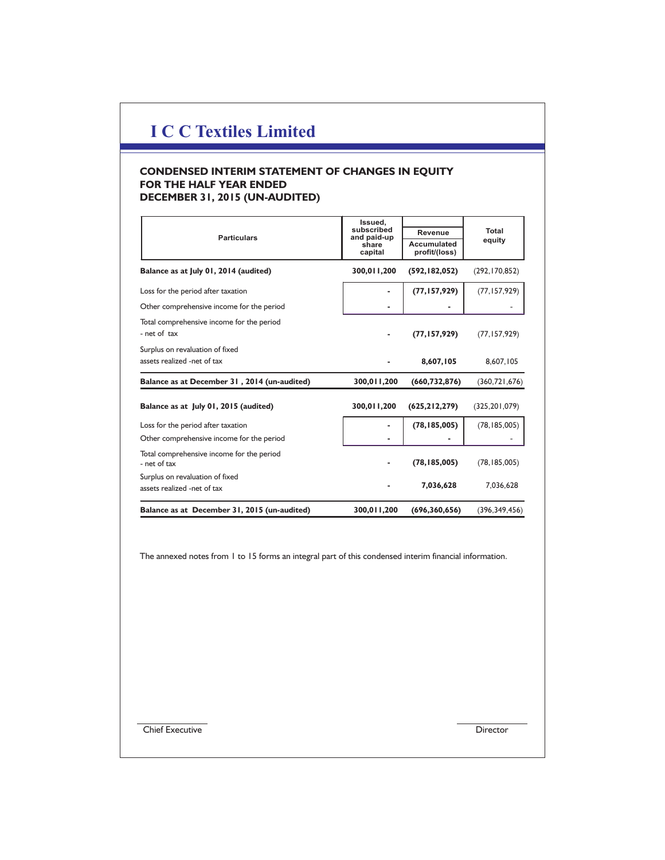# **CONDENSED INTERIM STATEMENT OF CHANGES IN EQUITY FOR THE HALF YEAR ENDED DECEMBER 31, 2015 (UN-AUDITED)**

|                                                                | Issued,                   |                                     |                 |
|----------------------------------------------------------------|---------------------------|-------------------------------------|-----------------|
| <b>Particulars</b>                                             | subscribed<br>and paid-up | Revenue                             | Total           |
|                                                                | share<br>capital          | <b>Accumulated</b><br>profit/(loss) | equity          |
| Balance as at July 01, 2014 (audited)                          | 300,011,200               | (592, 182, 052)                     | (292, 170, 852) |
| Loss for the period after taxation                             |                           | (77, 157, 929)                      | (77, 157, 929)  |
| Other comprehensive income for the period                      |                           |                                     |                 |
| Total comprehensive income for the period<br>- net of tax      |                           | (77, 157, 929)                      | (77, 157, 929)  |
| Surplus on revaluation of fixed<br>assets realized -net of tax |                           | 8,607,105                           | 8,607,105       |
| Balance as at December 31, 2014 (un-audited)                   | 300,011,200               | (660, 732, 876)                     | (360, 721, 676) |
| Balance as at July 01, 2015 (audited)                          | 300,011,200               | (625, 212, 279)                     | (325, 201, 079) |
| Loss for the period after taxation                             |                           | (78, 185, 005)                      | (78, 185, 005)  |
| Other comprehensive income for the period                      |                           |                                     |                 |
| Total comprehensive income for the period<br>- net of tax      |                           | (78, 185, 005)                      | (78, 185, 005)  |
| Surplus on revaluation of fixed<br>assets realized -net of tax |                           | 7,036,628                           | 7,036,628       |
| Balance as at December 31, 2015 (un-audited)                   | 300,011,200               | (696, 360, 656)                     | (396, 349, 456) |

The annexed notes from 1 to 15 forms an integral part of this condensed interim financial information.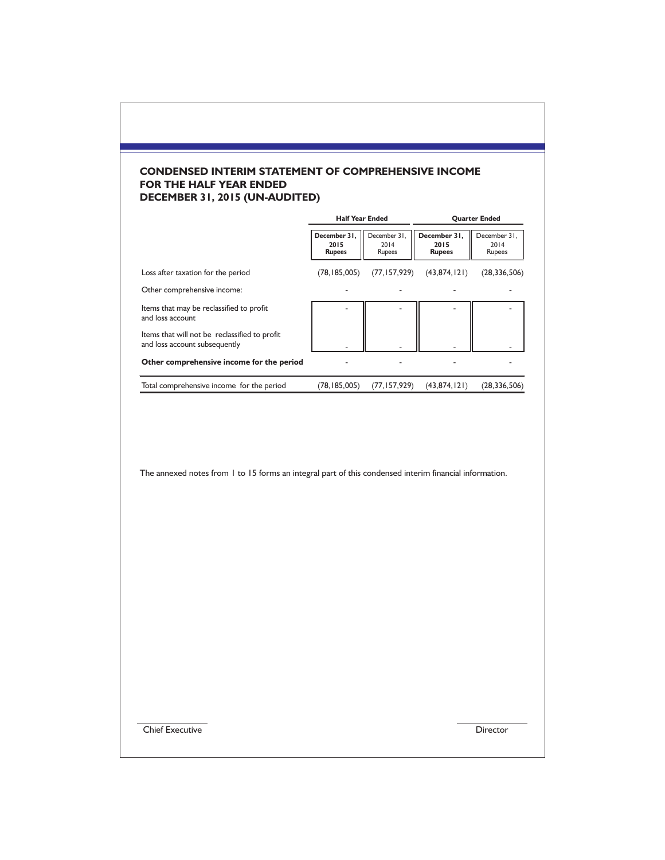# **CONDENSED INTERIM STATEMENT OF COMPREHENSIVE INCOME FOR THE HALF YEAR ENDED DECEMBER 31, 2015 (UN-AUDITED)**

|                                                                                | <b>Half Year Ended</b>                |                                |                                       | <b>Quarter Ended</b>           |  |
|--------------------------------------------------------------------------------|---------------------------------------|--------------------------------|---------------------------------------|--------------------------------|--|
|                                                                                | December 31.<br>2015<br><b>Rupees</b> | December 31.<br>2014<br>Rupees | December 31,<br>2015<br><b>Rupees</b> | December 31,<br>2014<br>Rupees |  |
| Loss after taxation for the period                                             | (78, 185, 005)                        | (77, 157, 929)                 | (43, 874, 121)                        | (28, 336, 506)                 |  |
| Other comprehensive income:                                                    |                                       |                                |                                       |                                |  |
| Items that may be reclassified to profit<br>and loss account                   |                                       |                                |                                       |                                |  |
| Items that will not be reclassified to profit<br>and loss account subsequently |                                       |                                |                                       |                                |  |
| Other comprehensive income for the period                                      |                                       |                                |                                       |                                |  |
| Total comprehensive income for the period                                      | (78,185,005)                          | (77, 157, 929)                 | (43, 874, 121)                        | (28, 336, 506)                 |  |

The annexed notes from 1 to 15 forms an integral part of this condensed interim financial information.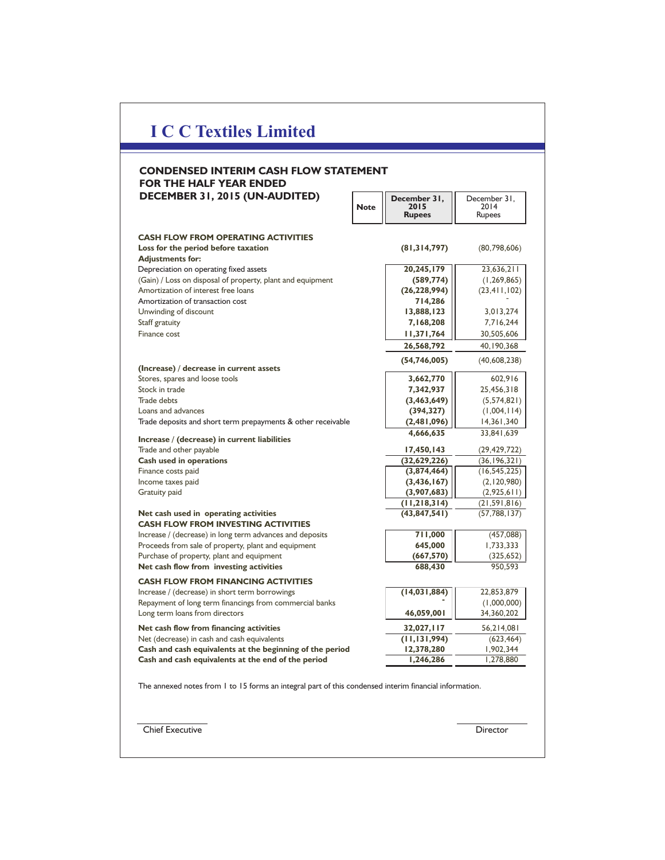## **December 31, Note 2015 CONDENSED INTERIM CASH FLOW STATEMENT FOR THE HALF YEAR ENDED DECEMBER 31, 2015 (UN-AUDITED)**

|                                                                                     | <b>Rupees</b>  | <b>Rupees</b>  |
|-------------------------------------------------------------------------------------|----------------|----------------|
| <b>CASH FLOW FROM OPERATING ACTIVITIES</b>                                          |                |                |
| Loss for the period before taxation                                                 | (81,314,797)   | (80,798,606)   |
| <b>Adjustments for:</b>                                                             |                |                |
| Depreciation on operating fixed assets                                              | 20,245,179     | 23,636,211     |
| (Gain) / Loss on disposal of property, plant and equipment                          | (589, 774)     | (1, 269, 865)  |
| Amortization of interest free loans                                                 | (26, 228, 994) | (23, 411, 102) |
| Amortization of transaction cost                                                    | 714,286        |                |
| Unwinding of discount                                                               | 13,888,123     | 3,013,274      |
| Staff gratuity                                                                      | 7,168,208      | 7,716,244      |
| Finance cost                                                                        | 11,371,764     | 30,505,606     |
|                                                                                     |                |                |
|                                                                                     | 26,568,792     | 40,190,368     |
| (Increase) / decrease in current assets                                             | (54, 746, 005) | (40, 608, 238) |
| Stores, spares and loose tools                                                      | 3,662,770      | 602,916        |
| Stock in trade                                                                      | 7,342,937      | 25,456,318     |
| <b>Trade debts</b>                                                                  | (3,463,649)    | (5,574,821)    |
| Loans and advances                                                                  | (394, 327)     | (1,004,114)    |
| Trade deposits and short term prepayments & other receivable                        | (2,481,096)    | 14,361,340     |
|                                                                                     | 4,666,635      | 33,841,639     |
| Increase / (decrease) in current liabilities                                        |                |                |
| Trade and other payable                                                             | 17,450,143     | (29, 429, 722) |
| <b>Cash used in operations</b>                                                      | (32,629,226)   | (36, 196, 321) |
| Finance costs paid                                                                  | (3,874,464)    | (16, 545, 225) |
| Income taxes paid                                                                   | (3, 436, 167)  | (2, 120, 980)  |
| Gratuity paid                                                                       | (3,907,683)    | (2,925,611)    |
|                                                                                     | (11, 218, 314) | (21, 591, 816) |
| Net cash used in operating activities<br><b>CASH FLOW FROM INVESTING ACTIVITIES</b> | (43, 847, 541) | (57, 788, 137) |
| Increase / (decrease) in long term advances and deposits                            | 711,000        | (457,088)      |
| Proceeds from sale of property, plant and equipment                                 | 645,000        | 1,733,333      |
| Purchase of property, plant and equipment                                           | (667, 570)     | (325, 652)     |
| Net cash flow from investing activities                                             | 688,430        | 950,593        |
| <b>CASH FLOW FROM FINANCING ACTIVITIES</b>                                          |                |                |
| Increase / (decrease) in short term borrowings                                      | (14,031,884)   | 22,853,879     |
| Repayment of long term financings from commercial banks                             |                | (1,000,000)    |
| Long term loans from directors                                                      | 46,059,001     | 34,360,202     |
| Net cash flow from financing activities                                             | 32,027,117     | 56,214,081     |
| Net (decrease) in cash and cash equivalents                                         | (11, 131, 994) | (623, 464)     |
| Cash and cash equivalents at the beginning of the period                            | 12,378,280     | 1,902,344      |
| Cash and cash equivalents at the end of the period                                  | 1,246,286      | 1,278,880      |

December 31, 2014

 $\overline{a}$ 

The annexed notes from 1 to 15 forms an integral part of this condensed interim financial information.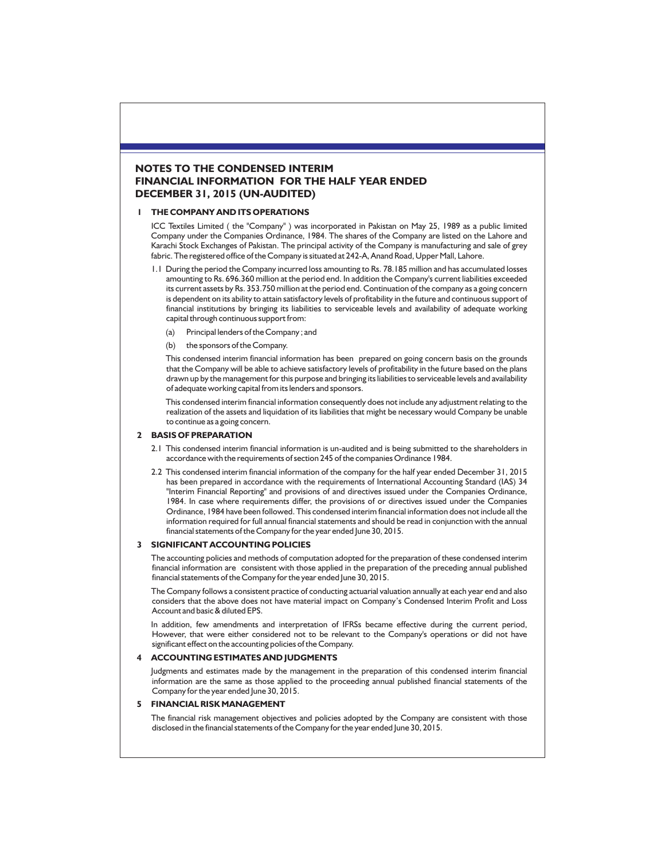## **NOTES TO THE CONDENSED INTERIM FINANCIAL INFORMATION FOR THE HALF YEAR ENDED DECEMBER 31, 2015 (UN-AUDITED)**

#### **1 THE COMPANY AND ITS OPERATIONS**

ICC Textiles Limited ( the "Company" ) was incorporated in Pakistan on May 25, 1989 as a public limited Company under the Companies Ordinance, 1984. The shares of the Company are listed on the Lahore and Karachi Stock Exchanges of Pakistan. The principal activity of the Company is manufacturing and sale of grey fabric. The registered office of the Company is situated at 242-A, Anand Road, Upper Mall, Lahore.

- 1.1 During the period the Company incurred loss amounting to Rs. 78.185 million and has accumulated losses amounting to Rs. 696.360 million at the period end. In addition the Company's current liabilities exceeded its current assets by Rs. 353.750 million at the period end. Continuation of the company as a going concern is dependent on its ability to attain satisfactory levels of profitability in the future and continuous support of financial institutions by bringing its liabilities to serviceable levels and availability of adequate working capital through continuous support from:
	- (a) Principal lenders of the Company ; and
	- (b) the sponsors of the Company.

This condensed interim financial information has been prepared on going concern basis on the grounds that the Company will be able to achieve satisfactory levels of profitability in the future based on the plans drawn up by the management for this purpose and bringing its liabilities to serviceable levels and availability of adequate working capital from its lenders and sponsors.

This condensed interim financial information consequently does not include any adjustment relating to the realization of the assets and liquidation of its liabilities that might be necessary would Company be unable to continue as a going concern.

#### **2 BASIS OF PREPARATION**

- 2.1 This condensed interim financial information is un-audited and is being submitted to the shareholders in accordance with the requirements of section 245 of the companies Ordinance 1984.
- 2.2 This condensed interim financial information of the company for the half year ended December 31, 2015 has been prepared in accordance with the requirements of International Accounting Standard (IAS) 34 "Interim Financial Reporting" and provisions of and directives issued under the Companies Ordinance, 1984. In case where requirements differ, the provisions of or directives issued under the Companies Ordinance, 1984 have been followed. This condensed interim financial information does not include all the information required for full annual financial statements and should be read in conjunction with the annual financial statements of the Company for the year ended June 30, 2015.

#### **3 SIGNIFICANT ACCOUNTING POLICIES**

The accounting policies and methods of computation adopted for the preparation of these condensed interim financial information are consistent with those applied in the preparation of the preceding annual published financial statements of the Company for the year ended June 30, 2015.

The Company follows a consistent practice of conducting actuarial valuation annually at each year end and also considers that the above does not have material impact on Company's Condensed Interim Profit and Loss Account and basic & diluted EPS.

In addition, few amendments and interpretation of IFRSs became effective during the current period, However, that were either considered not to be relevant to the Company's operations or did not have significant effect on the accounting policies of the Company.

## **4 ACCOUNTING ESTIMATES AND JUDGMENTS**

Judgments and estimates made by the management in the preparation of this condensed interim financial information are the same as those applied to the proceeding annual published financial statements of the Company for the year ended June 30, 2015.

#### **5 FINANCIAL RISK MANAGEMENT**

The financial risk management objectives and policies adopted by the Company are consistent with those disclosed in the financial statements of the Company for the year ended June 30, 2015.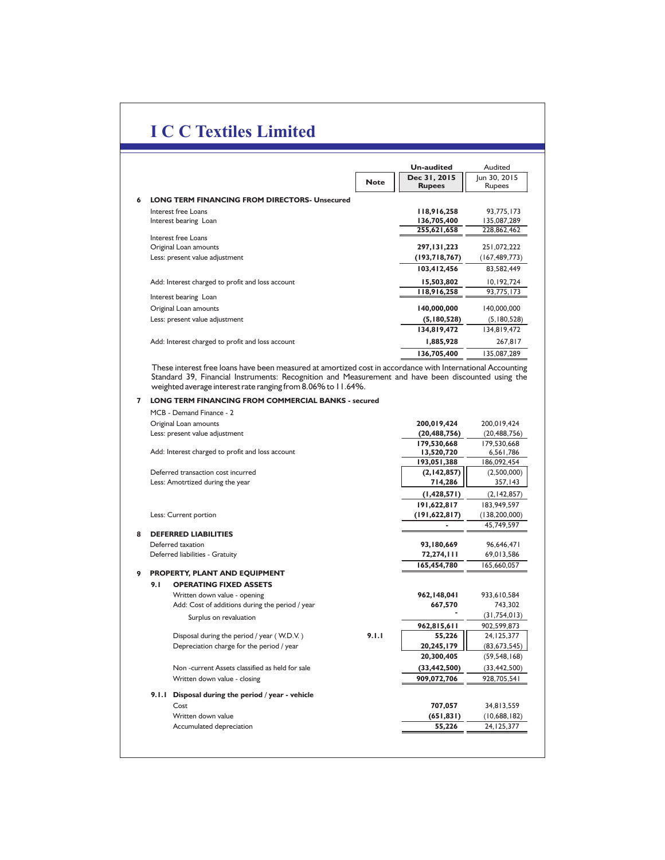|                                                           |             | Un-audited    | Audited         |
|-----------------------------------------------------------|-------------|---------------|-----------------|
|                                                           | <b>Note</b> | Dec 31, 2015  | Jun 30, 2015    |
|                                                           |             | <b>Rupees</b> | Rupees          |
| <b>LONG TERM FINANCING FROM DIRECTORS- Unsecured</b><br>6 |             |               |                 |
| Interest free Loans                                       |             | 118,916,258   | 93,775,173      |
| Interest bearing Loan                                     |             | 136,705,400   | 135,087,289     |
|                                                           |             | 255,621,658   | 228,862,462     |
| Interest free Loans                                       |             |               |                 |
| Original Loan amounts                                     |             | 297, 131, 223 | 251,072,222     |
| Less: present value adjustment                            |             | (193,718,767) | (167, 489, 773) |
|                                                           |             | 103,412,456   | 83,582,449      |
| Add: Interest charged to profit and loss account          |             | 15,503,802    | 10,192,724      |
|                                                           |             | 118,916,258   | 93,775,173      |
| Interest bearing Loan                                     |             |               |                 |
| Original Loan amounts                                     |             | 140,000,000   | 140,000,000     |
| Less: present value adjustment                            |             | (5,180,528)   | (5,180,528)     |
|                                                           |             | 134,819,472   | 134.819.472     |
| Add: Interest charged to profit and loss account          |             | 1,885,928     | 267,817         |
|                                                           |             | 136,705,400   | 135,087,289     |

These interest free loans have been measured at amortized cost in accordance with International Accounting Standard 39, Financial Instruments: Recognition and Measurement and have been discounted using the weighted average interest rate ranging from 8.06% to 11.64%.

### **7 LONG TERM FINANCING FROM COMMERCIAL BANKS - secured**

|   |       | MCB - Demand Finance - 2                         |       |                 |                 |
|---|-------|--------------------------------------------------|-------|-----------------|-----------------|
|   |       | Original Loan amounts                            |       | 200,019,424     | 200,019,424     |
|   |       | Less: present value adjustment                   |       | (20, 488, 756)  | (20, 488, 756)  |
|   |       |                                                  |       | 179,530,668     | 179,530,668     |
|   |       | Add: Interest charged to profit and loss account |       | 13,520,720      | 6,561,786       |
|   |       |                                                  |       | 193,051,388     | 186,092,454     |
|   |       | Deferred transaction cost incurred               |       | (2,142,857)     | (2,500,000)     |
|   |       | Less: Amotrtized during the year                 |       | 714,286         | 357,143         |
|   |       |                                                  |       | (1,428,571)     | (2, 142, 857)   |
|   |       |                                                  |       | 191,622,817     | 183,949,597     |
|   |       | Less: Current portion                            |       | (191, 622, 817) | (138, 200, 000) |
|   |       |                                                  |       |                 | 45,749,597      |
| 8 |       | <b>DEFERRED LIABILITIES</b>                      |       |                 |                 |
|   |       | Deferred taxation                                |       | 93,180,669      | 96,646,471      |
|   |       | Deferred liabilities - Gratuity                  |       | 72,274,111      | 69,013,586      |
|   |       |                                                  |       | 165,454,780     | 165,660,057     |
| 9 |       | PROPERTY, PLANT AND EQUIPMENT                    |       |                 |                 |
|   | 9.1   | <b>OPERATING FIXED ASSETS</b>                    |       |                 |                 |
|   |       | Written down value - opening                     |       | 962,148,041     | 933,610,584     |
|   |       | Add: Cost of additions during the period / year  |       | 667,570         | 743,302         |
|   |       | Surplus on revaluation                           |       |                 | (31,754,013)    |
|   |       |                                                  |       | 962,815,611     | 902,599,873     |
|   |       | Disposal during the period / year (W.D.V.)       | 9.1.1 | 55,226          | 24, 125, 377    |
|   |       | Depreciation charge for the period / year        |       | 20,245,179      | (83, 673, 545)  |
|   |       |                                                  |       | 20,300,405      | (59, 548, 168)  |
|   |       | Non-current Assets classified as held for sale   |       | (33, 442, 500)  | (33, 442, 500)  |
|   |       | Written down value - closing                     |       | 909,072,706     | 928,705,541     |
|   | 9.1.1 | Disposal during the period / year - vehicle      |       |                 |                 |
|   |       | Cost                                             |       | 707,057         | 34,813,559      |
|   |       | Written down value                               |       | (651, 831)      | (10,688,182)    |
|   |       | Accumulated depreciation                         |       | 55,226          | 24, 125, 377    |
|   |       |                                                  |       |                 |                 |
|   |       |                                                  |       |                 |                 |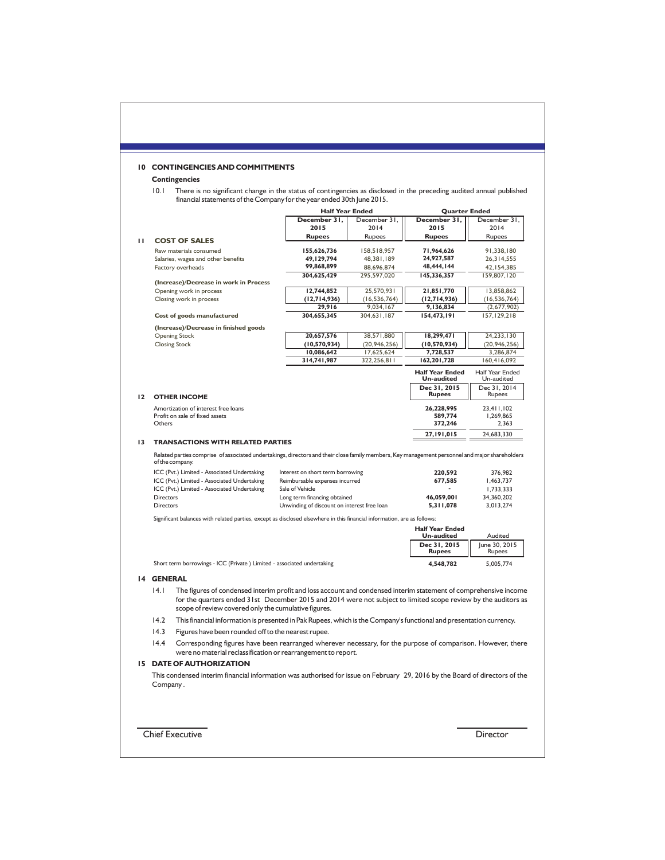## **10 CONTINGENCIES AND COMMITMENTS**

# **Contingencies**

10.1 There is no significant change in the status of contingencies as disclosed in the preceding audited annual published financial statements of the Company for the year ended 30th June 2015.

|    |                        |                                                                                                                                                                                                                                    |                                  | <b>Half Year Ended</b>                      |                                             | <b>Quarter Ended</b>          |  |  |
|----|------------------------|------------------------------------------------------------------------------------------------------------------------------------------------------------------------------------------------------------------------------------|----------------------------------|---------------------------------------------|---------------------------------------------|-------------------------------|--|--|
|    |                        |                                                                                                                                                                                                                                    | December 31,                     | December 31,                                | December 31,                                | December 31,                  |  |  |
|    |                        |                                                                                                                                                                                                                                    | 2015                             | 2014                                        | 2015                                        | 2014                          |  |  |
| ш  |                        | <b>COST OF SALES</b>                                                                                                                                                                                                               | <b>Rupees</b>                    | Rupees                                      | <b>Rupees</b>                               | Rupees                        |  |  |
|    |                        |                                                                                                                                                                                                                                    |                                  |                                             |                                             |                               |  |  |
|    |                        | Raw materials consumed                                                                                                                                                                                                             | 155,626,736<br>49,129,794        | 158,518,957                                 | 71,964,626<br>24,927,587                    | 91,338,180                    |  |  |
|    |                        | Salaries, wages and other benefits                                                                                                                                                                                                 | 99,868,899                       | 48,381,189                                  | 48,444,144                                  | 26,314,555                    |  |  |
|    |                        | Factory overheads                                                                                                                                                                                                                  | 304,625,429                      | 88,696,874<br>295,597,020                   |                                             | 42, 154, 385<br>159,807,120   |  |  |
|    |                        | (Increase)/Decrease in work in Process                                                                                                                                                                                             |                                  |                                             | 145,336,357                                 |                               |  |  |
|    |                        | Opening work in process                                                                                                                                                                                                            | 12,744,852                       | 25,570,931                                  | 21,851,770                                  | 13,858,862                    |  |  |
|    |                        | Closing work in process                                                                                                                                                                                                            | (12,714,936)                     | (16, 536, 764)                              | (12,714,936)                                | (16, 536, 764)                |  |  |
|    |                        |                                                                                                                                                                                                                                    | 29,916                           | 9,034,167                                   | 9,136,834                                   | (2,677,902)                   |  |  |
|    |                        | Cost of goods manufactured                                                                                                                                                                                                         | 304,655,345                      | 304,631,187                                 | 154,473,191                                 | 157, 129, 218                 |  |  |
|    |                        | (Increase)/Decrease in finished goods                                                                                                                                                                                              |                                  |                                             |                                             |                               |  |  |
|    |                        | <b>Opening Stock</b>                                                                                                                                                                                                               | 20,657,576                       | 38,571,880                                  | 18,299,471                                  | 24,233,130                    |  |  |
|    |                        | <b>Closing Stock</b>                                                                                                                                                                                                               | (10, 570, 934)                   | (20, 946, 256)                              | (10, 570, 934)                              | (20, 946, 256)                |  |  |
|    |                        |                                                                                                                                                                                                                                    | 10,086,642                       | 17,625,624                                  | 7,728,537                                   | 3,286,874                     |  |  |
|    |                        |                                                                                                                                                                                                                                    | 314,741,987                      | 322,256,811                                 | 162,201,728                                 | 160,416,092                   |  |  |
|    |                        |                                                                                                                                                                                                                                    |                                  |                                             | <b>Half Year Ended</b><br><b>Un-audited</b> | Half Year Ended<br>Un-audited |  |  |
|    |                        |                                                                                                                                                                                                                                    |                                  |                                             | Dec 31, 2015                                | Dec 31, 2014                  |  |  |
| 12 |                        | <b>OTHER INCOME</b>                                                                                                                                                                                                                |                                  |                                             | <b>Rupees</b>                               | Rupees                        |  |  |
|    |                        | Amortization of interest free loans                                                                                                                                                                                                |                                  |                                             | 26,228,995                                  | 23,411,102                    |  |  |
|    |                        | Profit on sale of fixed assets                                                                                                                                                                                                     |                                  |                                             | 589,774                                     | 1,269,865                     |  |  |
|    | Others                 |                                                                                                                                                                                                                                    |                                  |                                             | 372,246                                     | 2,363                         |  |  |
|    |                        |                                                                                                                                                                                                                                    |                                  |                                             | 27,191,015                                  | 24,683,330                    |  |  |
| 13 |                        | <b>TRANSACTIONS WITH RELATED PARTIES</b><br>Related parties comprise of associated undertakings, directors and their close family members, Key management personnel and major shareholders<br>of the company.                      |                                  |                                             |                                             |                               |  |  |
|    |                        | ICC (Pvt.) Limited - Associated Undertaking                                                                                                                                                                                        | Interest on short term borrowing |                                             | 220,592                                     | 376.982                       |  |  |
|    |                        | ICC (Pvt.) Limited - Associated Undertaking                                                                                                                                                                                        | Reimbursable expenses incurred   |                                             | 677,585                                     | 1,463,737                     |  |  |
|    |                        | ICC (Pvt.) Limited - Associated Undertaking                                                                                                                                                                                        | Sale of Vehicle                  |                                             | $\mathbf{r}$                                | 1,733,333                     |  |  |
|    |                        |                                                                                                                                                                                                                                    |                                  |                                             | 46,059,001                                  |                               |  |  |
|    | Directors<br>Directors |                                                                                                                                                                                                                                    | Long term financing obtained     |                                             | 5,311,078                                   | 34,360,202<br>3,013,274       |  |  |
|    |                        |                                                                                                                                                                                                                                    |                                  | Unwinding of discount on interest free loan |                                             |                               |  |  |
|    |                        | Significant balances with related parties, except as disclosed elsewhere in this financial information, are as follows:                                                                                                            |                                  |                                             |                                             |                               |  |  |
|    |                        |                                                                                                                                                                                                                                    |                                  |                                             | <b>Half Year Ended</b><br><b>Un-audited</b> | Audited                       |  |  |
|    |                        |                                                                                                                                                                                                                                    |                                  |                                             | Dec 31, 2015<br><b>Rupees</b>               | June 30, 2015<br>Rupees       |  |  |
|    |                        | Short term borrowings - ICC (Private ) Limited - associated undertaking                                                                                                                                                            |                                  |                                             | 4,548,782                                   | 5,005,774                     |  |  |
|    | <b>14 GENERAL</b>      |                                                                                                                                                                                                                                    |                                  |                                             |                                             |                               |  |  |
|    | 14.1                   | The figures of condensed interim profit and loss account and condensed interim statement of comprehensive income<br>for the quarters ended 31st December 2015 and 2014 were not subject to limited scope review by the auditors as |                                  |                                             |                                             |                               |  |  |
|    |                        | scope of review covered only the cumulative figures.                                                                                                                                                                               |                                  |                                             |                                             |                               |  |  |
|    | 14.2                   | This financial information is presented in Pak Rupees, which is the Company's functional and presentation currency.                                                                                                                |                                  |                                             |                                             |                               |  |  |
|    | 14.3                   |                                                                                                                                                                                                                                    |                                  |                                             |                                             |                               |  |  |
|    | 14.4                   | Figures have been rounded off to the nearest rupee.<br>Corresponding figures have been rearranged wherever necessary, for the purpose of comparison. However, there                                                                |                                  |                                             |                                             |                               |  |  |
|    |                        | were no material reclassification or rearrangement to report.                                                                                                                                                                      |                                  |                                             |                                             |                               |  |  |
|    |                        | <b>15 DATE OF AUTHORIZATION</b><br>This condensed interim financial information was authorised for issue on February 29, 2016 by the Board of directors of the                                                                     |                                  |                                             |                                             |                               |  |  |